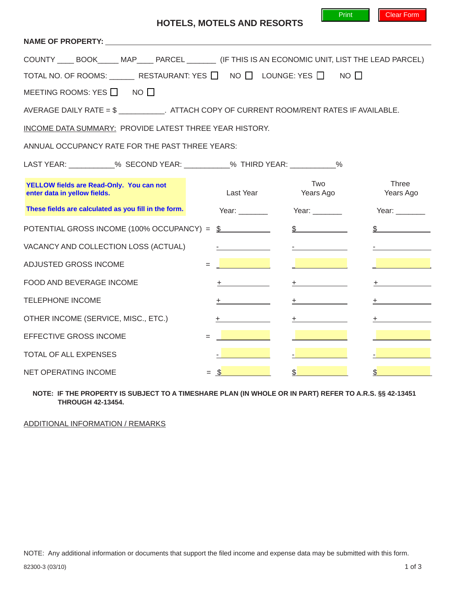| NAME OF PROPERTY: NAME OF PROPERTY:                                                                  |               |                  |                           |  |  |  |  |
|------------------------------------------------------------------------------------------------------|---------------|------------------|---------------------------|--|--|--|--|
| COUNTY _____ BOOK______ MAP_____ PARCEL ________ (IF THIS IS AN ECONOMIC UNIT, LIST THE LEAD PARCEL) |               |                  |                           |  |  |  |  |
| TOTAL NO. OF ROOMS: ________ RESTAURANT: YES □ NO □ LOUNGE: YES □ NO □                               |               |                  |                           |  |  |  |  |
| MEETING ROOMS: YES $\Box$ NO $\Box$                                                                  |               |                  |                           |  |  |  |  |
| AVERAGE DAILY RATE = $\frac{6}{3}$ ATTACH COPY OF CURRENT ROOM/RENT RATES IF AVAILABLE.              |               |                  |                           |  |  |  |  |
| INCOME DATA SUMMARY: PROVIDE LATEST THREE YEAR HISTORY.                                              |               |                  |                           |  |  |  |  |
| ANNUAL OCCUPANCY RATE FOR THE PAST THREE YEARS:                                                      |               |                  |                           |  |  |  |  |
| LAST YEAR: ___________% SECOND YEAR: __________% THIRD YEAR: ___________%                            |               |                  |                           |  |  |  |  |
| YELLOW fields are Read-Only. You can not<br>enter data in yellow fields.                             | Last Year     | Two<br>Years Ago | <b>Three</b><br>Years Ago |  |  |  |  |
| These fields are calculated as you fill in the form.                                                 | Year:         | Year:            | Year:                     |  |  |  |  |
| POTENTIAL GROSS INCOME (100% OCCUPANCY) = \$<br>$\mathbb{S}$<br>\$                                   |               |                  |                           |  |  |  |  |
| VACANCY AND COLLECTION LOSS (ACTUAL)                                                                 |               |                  |                           |  |  |  |  |
| ADJUSTED GROSS INCOME<br>$=$                                                                         |               |                  |                           |  |  |  |  |
| FOOD AND BEVERAGE INCOME                                                                             |               |                  |                           |  |  |  |  |
| <b>TELEPHONE INCOME</b>                                                                              | ÷.            | $+$              | +.                        |  |  |  |  |
| OTHER INCOME (SERVICE, MISC., ETC.)                                                                  | ÷.            | $^+$             |                           |  |  |  |  |
| EFFECTIVE GROSS INCOME                                                                               |               |                  |                           |  |  |  |  |
| <b>TOTAL OF ALL EXPENSES</b>                                                                         |               |                  |                           |  |  |  |  |
| NET OPERATING INCOME                                                                                 | $=$ $\sqrt{}$ | $\mathfrak{D}$   | $\mathfrak{S}$            |  |  |  |  |

## **NOTE: IF THE PROPERTY IS SUBJECT TO A TIMESHARE PLAN (IN WHOLE OR IN PART) REFER TO A.R.S. §§ 42-13451 THROUGH 42-13454.**

ADDITIONAL INFORMATION / REMARKS

Print Clear Form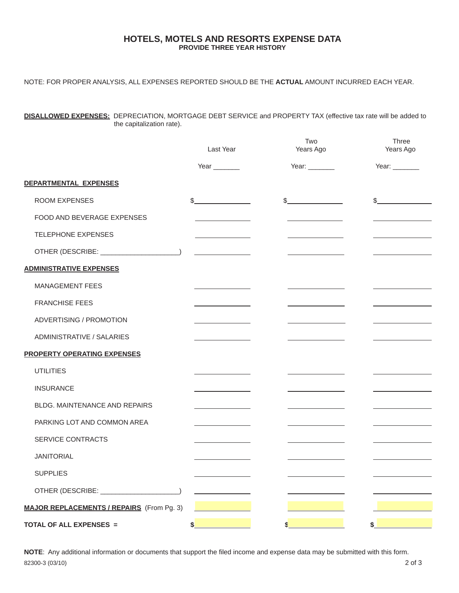## **HOTELS, MOTELS AND RESORTS EXPENSE DATA PROVIDE THREE YEAR HISTORY**

NOTE: FOR PROPER ANALYSIS, ALL EXPENSES REPORTED SHOULD BE THE **ACTUAL** AMOUNT INCURRED EACH YEAR.

**DISALLOWED EXPENSES:** DEPRECIATION, MORTGAGE DEBT SERVICE and PROPERTY TAX (effective tax rate will be added to the capitalization rate).

|                                                  | Last Year                                                                                                                                                                                                      | Two<br>Years Ago                                | Three<br>Years Ago                           |
|--------------------------------------------------|----------------------------------------------------------------------------------------------------------------------------------------------------------------------------------------------------------------|-------------------------------------------------|----------------------------------------------|
|                                                  | Year $\_\_\_\_\_\_\_\_\$                                                                                                                                                                                       | Year: ________                                  | Year: $\_\_$                                 |
| DEPARTMENTAL EXPENSES                            |                                                                                                                                                                                                                |                                                 |                                              |
| <b>ROOM EXPENSES</b>                             | $\frac{1}{2}$                                                                                                                                                                                                  | $\frac{1}{2}$                                   | $\frac{1}{2}$                                |
| FOOD AND BEVERAGE EXPENSES                       |                                                                                                                                                                                                                |                                                 |                                              |
| <b>TELEPHONE EXPENSES</b>                        |                                                                                                                                                                                                                |                                                 |                                              |
| OTHER (DESCRIBE: ______________________)         |                                                                                                                                                                                                                |                                                 |                                              |
| <b>ADMINISTRATIVE EXPENSES</b>                   |                                                                                                                                                                                                                |                                                 |                                              |
| <b>MANAGEMENT FEES</b>                           |                                                                                                                                                                                                                |                                                 |                                              |
| <b>FRANCHISE FEES</b>                            |                                                                                                                                                                                                                |                                                 |                                              |
| ADVERTISING / PROMOTION                          | <u> 1990 - Johann Barnett, fransk konge</u>                                                                                                                                                                    | <u> 1989 - Johann Barbara, martxa a</u>         | the control of the control of the control of |
| ADMINISTRATIVE / SALARIES                        |                                                                                                                                                                                                                |                                                 |                                              |
| <b>PROPERTY OPERATING EXPENSES</b>               |                                                                                                                                                                                                                |                                                 |                                              |
| <b>UTILITIES</b>                                 |                                                                                                                                                                                                                |                                                 |                                              |
| <b>INSURANCE</b>                                 |                                                                                                                                                                                                                |                                                 |                                              |
| <b>BLDG. MAINTENANCE AND REPAIRS</b>             | and the control of the control of                                                                                                                                                                              | and the control of the control of               |                                              |
| PARKING LOT AND COMMON AREA                      | $\label{eq:2.1} \mathcal{L}(\mathcal{L}^{\mathcal{L}}_{\mathcal{L}}(\mathcal{L}^{\mathcal{L}}_{\mathcal{L}})) = \mathcal{L}(\mathcal{L}^{\mathcal{L}}_{\mathcal{L}}(\mathcal{L}^{\mathcal{L}}_{\mathcal{L}}))$ | <u> 1989 - Johann Barnett, fransk politiker</u> |                                              |
| SERVICE CONTRACTS                                |                                                                                                                                                                                                                |                                                 |                                              |
| <b>JANITORIAL</b>                                |                                                                                                                                                                                                                |                                                 |                                              |
| <b>SUPPLIES</b>                                  |                                                                                                                                                                                                                |                                                 |                                              |
| OTHER (DESCRIBE: _____________________)          |                                                                                                                                                                                                                |                                                 |                                              |
| <b>MAJOR REPLACEMENTS / REPAIRS</b> (From Pg. 3) |                                                                                                                                                                                                                |                                                 |                                              |
| TOTAL OF ALL EXPENSES =                          | \$                                                                                                                                                                                                             | S                                               | \$                                           |

**NOTE**: Any additional information or documents that support the filed income and expense data may be submitted with this form. 82300-3 (03/10) 2 of 3